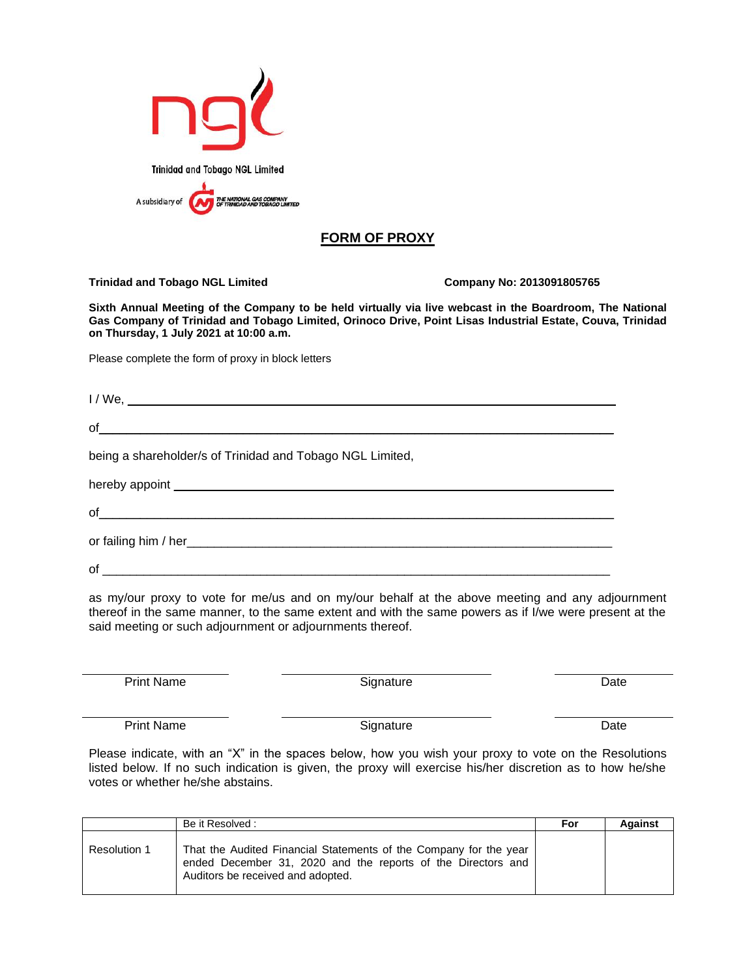

## **FORM OF PROXY**

## **Trinidad and Tobago NGL Limited Company No: 2013091805765**

**Sixth Annual Meeting of the Company to be held virtually via live webcast in the Boardroom, The National Gas Company of Trinidad and Tobago Limited, Orinoco Drive, Point Lisas Industrial Estate, Couva, Trinidad on Thursday, 1 July 2021 at 10:00 a.m.**

Please complete the form of proxy in block letters

I / We, \_\_\_\_\_\_\_\_\_\_\_\_\_\_\_\_\_\_\_\_\_\_\_\_\_\_\_\_\_\_\_\_\_\_\_\_\_\_\_\_\_\_\_\_\_\_\_\_\_\_\_\_\_\_\_\_\_\_\_\_\_\_\_\_\_\_\_\_\_\_\_  $of_\_$ 

being a shareholder/s of Trinidad and Tobago NGL Limited,

hereby appoint **the example of the example of the example of the example of the example of the example of the example of the example of the example of the example of the example of the example of the example of the example** 

of  $\Box$ 

or failing him / her\_\_\_\_\_\_\_\_\_\_\_\_\_\_\_\_\_\_\_\_\_\_\_\_\_\_\_\_\_\_\_\_\_\_\_\_\_\_\_\_\_\_\_\_\_\_\_\_\_\_\_\_\_\_\_\_\_\_\_\_\_\_

of \_\_\_\_\_\_\_\_\_\_\_\_\_\_\_\_\_\_\_\_\_\_\_\_\_\_\_\_\_\_\_\_\_\_\_\_\_\_\_\_\_\_\_\_\_\_\_\_\_\_\_\_\_\_\_\_\_\_\_\_\_\_\_\_\_\_\_\_\_\_\_\_\_\_

as my/our proxy to vote for me/us and on my/our behalf at the above meeting and any adjournment thereof in the same manner, to the same extent and with the same powers as if I/we were present at the said meeting or such adjournment or adjournments thereof.

Print Name Date Signature Date Date

Print Name Date Signature Date

Please indicate, with an "X" in the spaces below, how you wish your proxy to vote on the Resolutions listed below. If no such indication is given, the proxy will exercise his/her discretion as to how he/she votes or whether he/she abstains.

|              | Be it Resolved :                                                                                                                                                       | For | Against |
|--------------|------------------------------------------------------------------------------------------------------------------------------------------------------------------------|-----|---------|
| Resolution 1 | That the Audited Financial Statements of the Company for the year<br>ended December 31, 2020 and the reports of the Directors and<br>Auditors be received and adopted. |     |         |